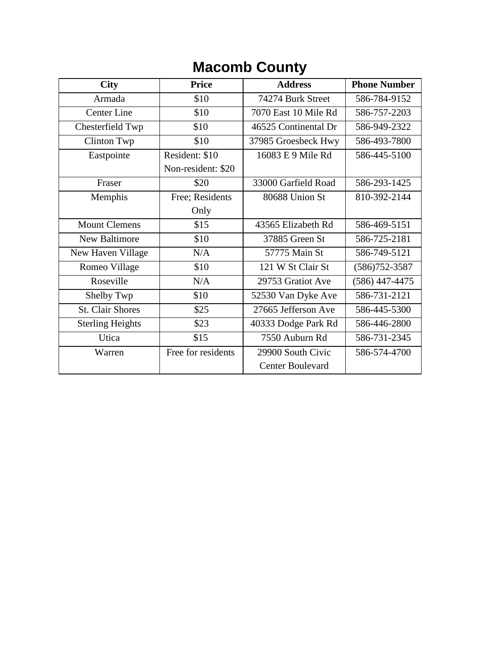## **Macomb County**

| <b>City</b>             | <b>Price</b>       | <b>Address</b>          | <b>Phone Number</b> |
|-------------------------|--------------------|-------------------------|---------------------|
| Armada                  | \$10               | 74274 Burk Street       | 586-784-9152        |
| <b>Center Line</b>      | \$10               | 7070 East 10 Mile Rd    | 586-757-2203        |
| Chesterfield Twp        | \$10               | 46525 Continental Dr    | 586-949-2322        |
| <b>Clinton Twp</b>      | \$10               | 37985 Groesbeck Hwy     | 586-493-7800        |
| Eastpointe              | Resident: \$10     | 16083 E 9 Mile Rd       | 586-445-5100        |
|                         | Non-resident: \$20 |                         |                     |
| Fraser                  | \$20               | 33000 Garfield Road     | 586-293-1425        |
| Memphis                 | Free; Residents    | 80688 Union St          | 810-392-2144        |
|                         | Only               |                         |                     |
| <b>Mount Clemens</b>    | \$15               | 43565 Elizabeth Rd      | 586-469-5151        |
| <b>New Baltimore</b>    | \$10               | 37885 Green St          | 586-725-2181        |
| New Haven Village       | N/A                | 57775 Main St           | 586-749-5121        |
| Romeo Village           | \$10               | 121 W St Clair St       | $(586)752 - 3587$   |
| Roseville               | N/A                | 29753 Gratiot Ave       | $(586)$ 447-4475    |
| Shelby Twp              | \$10               | 52530 Van Dyke Ave      | 586-731-2121        |
| <b>St. Clair Shores</b> | \$25               | 27665 Jefferson Ave     | 586-445-5300        |
| <b>Sterling Heights</b> | \$23               | 40333 Dodge Park Rd     | 586-446-2800        |
| Utica                   | \$15               | 7550 Auburn Rd          | 586-731-2345        |
| Warren                  | Free for residents | 29900 South Civic       | 586-574-4700        |
|                         |                    | <b>Center Boulevard</b> |                     |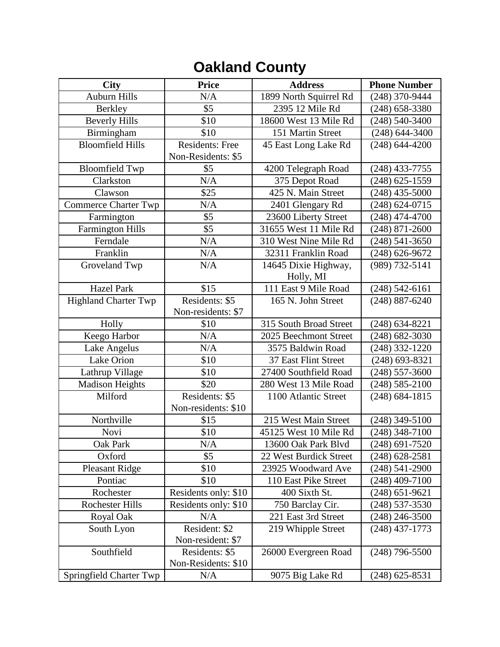## **Oakland County**

| <b>City</b>                 | <b>Price</b>         | <b>Address</b>         | <b>Phone Number</b> |
|-----------------------------|----------------------|------------------------|---------------------|
| <b>Auburn Hills</b>         | N/A                  | 1899 North Squirrel Rd | (248) 370-9444      |
| <b>Berkley</b>              | \$5                  | 2395 12 Mile Rd        | $(248)$ 658-3380    |
| <b>Beverly Hills</b>        | \$10                 | 18600 West 13 Mile Rd  | $(248) 540 - 3400$  |
| Birmingham                  | \$10                 | 151 Martin Street      | $(248) 644 - 3400$  |
| <b>Bloomfield Hills</b>     | Residents: Free      | 45 East Long Lake Rd   | $(248) 644 - 4200$  |
|                             | Non-Residents: \$5   |                        |                     |
| <b>Bloomfield Twp</b>       | \$5                  | 4200 Telegraph Road    | $(248)$ 433-7755    |
| Clarkston                   | N/A                  | 375 Depot Road         | $(248)$ 625-1559    |
| Clawson                     | \$25                 | 425 N. Main Street     | $(248)$ 435-5000    |
| <b>Commerce Charter Twp</b> | N/A                  | 2401 Glengary Rd       | $(248) 624 - 0715$  |
| Farmington                  | \$5                  | 23600 Liberty Street   | $(248)$ 474-4700    |
| Farmington Hills            | \$5                  | 31655 West 11 Mile Rd  | $(248)$ 871-2600    |
| Ferndale                    | N/A                  | 310 West Nine Mile Rd  | $(248) 541 - 3650$  |
| Franklin                    | N/A                  | 32311 Franklin Road    | $(248)$ 626-9672    |
| Groveland Twp               | N/A                  | 14645 Dixie Highway,   | (989) 732-5141      |
|                             |                      | Holly, MI              |                     |
| <b>Hazel Park</b>           | \$15                 | 111 East 9 Mile Road   | $(248) 542 - 6161$  |
| <b>Highland Charter Twp</b> | Residents: \$5       | 165 N. John Street     | $(248) 887 - 6240$  |
|                             | Non-residents: \$7   |                        |                     |
| Holly                       | \$10                 | 315 South Broad Street | $(248) 634 - 8221$  |
| Keego Harbor                | N/A                  | 2025 Beechmont Street  | $(248) 682 - 3030$  |
| Lake Angelus                | N/A                  | 3575 Baldwin Road      | $(248)$ 332-1220    |
| Lake Orion                  | \$10                 | 37 East Flint Street   | $(248)$ 693-8321    |
| Lathrup Village             | \$10                 | 27400 Southfield Road  | $(248)$ 557-3600    |
| <b>Madison Heights</b>      | \$20                 | 280 West 13 Mile Road  | $(248) 585 - 2100$  |
| Milford                     | Residents: \$5       | 1100 Atlantic Street   | $(248) 684 - 1815$  |
|                             | Non-residents: \$10  |                        |                     |
| Northville                  | \$15                 | 215 West Main Street   | $(248)$ 349-5100    |
| Novi                        | \$10                 | 45125 West 10 Mile Rd  | $(248)$ 348-7100    |
| Oak Park                    | $\rm N/A$            | 13600 Oak Park Blvd    | $(248)$ 691-7520    |
| Oxford                      | \$5                  | 22 West Burdick Street | $(248)$ 628-2581    |
| <b>Pleasant Ridge</b>       | \$10                 | 23925 Woodward Ave     | (248) 541-2900      |
| Pontiac                     | \$10                 | 110 East Pike Street   | $(248)$ 409-7100    |
| Rochester                   | Residents only: \$10 | 400 Sixth St.          | $(248)$ 651-9621    |
| <b>Rochester Hills</b>      | Residents only: \$10 | 750 Barclay Cir.       | (248) 537-3530      |
| Royal Oak                   | N/A                  | 221 East 3rd Street    | $(248)$ 246-3500    |
| South Lyon                  | Resident: \$2        | 219 Whipple Street     | (248) 437-1773      |
|                             | Non-resident: \$7    |                        |                     |
| Southfield                  | Residents: \$5       | 26000 Evergreen Road   | $(248)$ 796-5500    |
|                             | Non-Residents: \$10  |                        |                     |
| Springfield Charter Twp     | N/A                  | 9075 Big Lake Rd       | $(248)$ 625-8531    |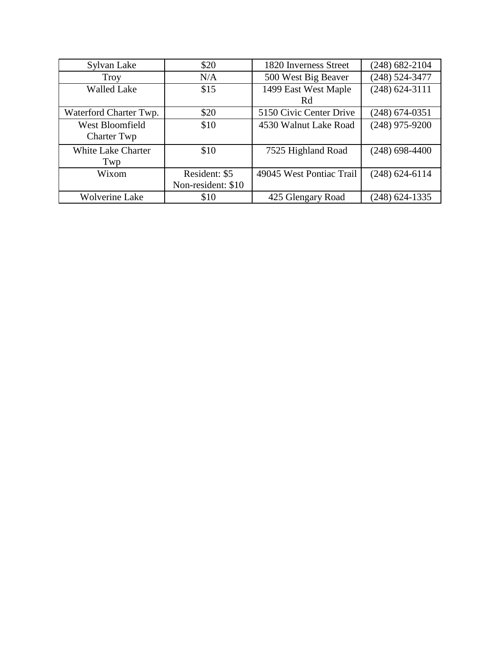| Sylvan Lake               | \$20               | 1820 Inverness Street    | $(248)$ 682-2104   |
|---------------------------|--------------------|--------------------------|--------------------|
| Troy                      | N/A                | 500 West Big Beaver      | (248) 524-3477     |
| <b>Walled Lake</b>        | \$15               | 1499 East West Maple     | $(248) 624 - 3111$ |
|                           |                    | Rd                       |                    |
| Waterford Charter Twp.    | \$20               | 5150 Civic Center Drive  | $(248)$ 674-0351   |
| West Bloomfield           | \$10               | 4530 Walnut Lake Road    | $(248)$ 975-9200   |
| Charter Twp               |                    |                          |                    |
| <b>White Lake Charter</b> | \$10               | 7525 Highland Road       | $(248)$ 698-4400   |
| Twp                       |                    |                          |                    |
| Wixom                     | Resident: \$5      | 49045 West Pontiac Trail | $(248) 624 - 6114$ |
|                           | Non-resident: \$10 |                          |                    |
| <b>Wolverine Lake</b>     | \$10               | 425 Glengary Road        | $(248)$ 624-1335   |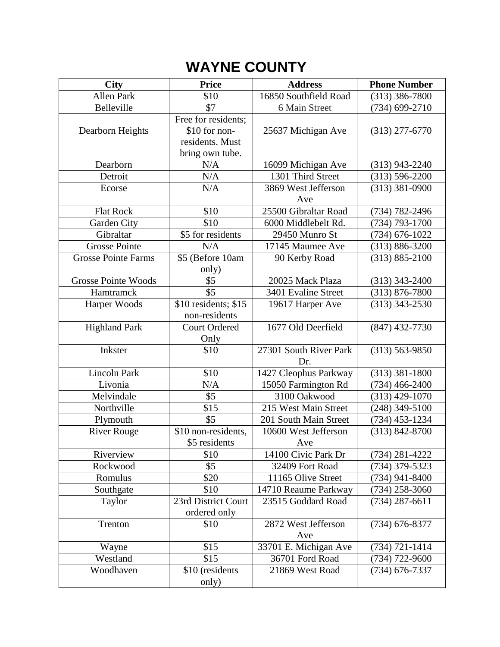## **WAYNE COUNTY**

| <b>City</b>                | <b>Price</b>                         | <b>Address</b>             | <b>Phone Number</b> |
|----------------------------|--------------------------------------|----------------------------|---------------------|
| <b>Allen Park</b>          | \$10                                 | 16850 Southfield Road      | $(313)$ 386-7800    |
| Belleville                 | \$7                                  | 6 Main Street              | $(734)$ 699-2710    |
|                            | Free for residents;                  |                            |                     |
| Dearborn Heights           | \$10 for non-                        | 25637 Michigan Ave         | $(313)$ 277-6770    |
|                            | residents. Must                      |                            |                     |
|                            | bring own tube.                      |                            |                     |
| Dearborn                   | N/A                                  | 16099 Michigan Ave         | $(313)$ 943-2240    |
| Detroit                    | N/A                                  | 1301 Third Street          | $(313) 596 - 2200$  |
| Ecorse                     | N/A                                  | 3869 West Jefferson        | $(313) 381 - 0900$  |
|                            |                                      | Ave                        |                     |
| <b>Flat Rock</b>           | \$10                                 | 25500 Gibraltar Road       | $(734) 782 - 2496$  |
| Garden City                | \$10                                 | 6000 Middlebelt Rd.        | $(734) 793 - 1700$  |
| Gibraltar                  | \$5 for residents                    | 29450 Munro St             | $(734) 676 - 1022$  |
| <b>Grosse Pointe</b>       | N/A                                  | 17145 Maumee Ave           | $(313) 886 - 3200$  |
| <b>Grosse Pointe Farms</b> | \$5 (Before 10am                     | 90 Kerby Road              | $(313) 885 - 2100$  |
|                            | only)                                |                            |                     |
| <b>Grosse Pointe Woods</b> | \$5                                  | 20025 Mack Plaza           | $(313)$ 343-2400    |
| Hamtramck                  | \$5                                  | 3401 Evaline Street        | $(313) 876 - 7800$  |
| Harper Woods               | \$10 residents; \$15                 | 19617 Harper Ave           | $(313)$ 343-2530    |
|                            | non-residents                        |                            |                     |
| <b>Highland Park</b>       | <b>Court Ordered</b>                 | 1677 Old Deerfield         | $(847)$ 432-7730    |
|                            | Only                                 |                            |                     |
| Inkster                    | \$10                                 | 27301 South River Park     | $(313) 563 - 9850$  |
|                            |                                      | Dr.                        |                     |
| <b>Lincoln Park</b>        | \$10                                 | 1427 Cleophus Parkway      | $(313)$ 381-1800    |
| Livonia                    | N/A                                  | 15050 Farmington Rd        | $(734)$ 466-2400    |
| Melvindale                 | \$5                                  | 3100 Oakwood               | $(313)$ 429-1070    |
| Northville                 | \$15<br>\$5                          | 215 West Main Street       | $(248)$ 349-5100    |
| Plymouth                   |                                      | 201 South Main Street      | $(734)$ 453-1234    |
| <b>River Rouge</b>         | \$10 non-residents,<br>\$5 residents | 10600 West Jefferson       | $(313) 842 - 8700$  |
| Riverview                  | \$10                                 | Ave<br>14100 Civic Park Dr | $(734)$ 281-4222    |
| Rockwood                   | \$5                                  | 32409 Fort Road            | (734) 379-5323      |
| Romulus                    | \$20                                 | 11165 Olive Street         | $(734)$ 941-8400    |
| Southgate                  | \$10                                 | 14710 Reaume Parkway       | (734) 258-3060      |
| Taylor                     | 23rd District Court                  | 23515 Goddard Road         | $(734)$ 287-6611    |
|                            | ordered only                         |                            |                     |
| Trenton                    | \$10                                 | 2872 West Jefferson        | $(734)$ 676-8377    |
|                            |                                      | Ave                        |                     |
| Wayne                      | \$15                                 | 33701 E. Michigan Ave      | $(734) 721 - 1414$  |
| Westland                   | \$15                                 | 36701 Ford Road            | (734) 722-9600      |
| Woodhaven                  | \$10 (residents                      | 21869 West Road            | $(734)$ 676-7337    |
|                            | only)                                |                            |                     |